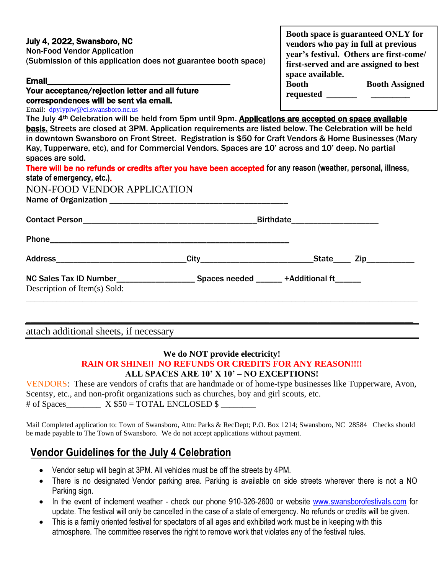## July 4, 2022, Swansboro, NC

Non-Food Vendor Application (Submission of this application does not guarantee booth space)

#### Email

#### Your acceptance/rejection letter and all future correspondences will be sent via email. Email: [dpylypiw@ci.swansboro.nc.us](mailto:dpylypiw@ci.swansboro.nc.us)

**Booth space is guaranteed ONLY for vendors who pay in full at previous year's festival. Others are first-come/ first-served and are assigned to best space available. Booth Booth Assigned requested \_\_\_\_\_\_\_** \_\_\_\_\_\_\_\_\_\_\_\_

The July 4<sup>th</sup> Celebration will be held from 5pm until 9pm. Applications are accepted on space available basis. Streets are closed at 3PM. Application requirements are listed below. The Celebration will be held in downtown Swansboro on Front Street. Registration is \$50 for Craft Vendors & Home Businesses (Mary Kay, Tupperware, etc), and for Commercial Vendors. Spaces are 10' across and 10' deep. No partial spaces are sold.

| There will be no refunds or credits after you have been accepted for any reason (weather, personal, illness, |  |  |
|--------------------------------------------------------------------------------------------------------------|--|--|
| state of emergency, etc.).                                                                                   |  |  |

NON-FOOD VENDOR APPLICATION Name of Organization \_\_\_\_\_\_\_\_\_\_\_\_\_\_\_\_\_\_\_\_\_\_\_\_\_\_\_\_\_\_\_\_\_\_\_\_\_\_\_\_\_

Contact Person\_\_\_\_\_\_\_\_\_\_\_\_\_\_\_\_\_\_\_\_\_\_\_\_\_\_\_\_\_\_\_\_\_\_\_\_\_\_\_\_Birthdate\_\_\_\_\_\_\_\_\_\_\_\_\_\_\_\_\_\_\_\_

Phone\_\_\_\_\_\_\_\_\_\_\_\_\_\_\_\_\_\_\_\_\_\_\_\_\_\_\_\_\_\_\_\_\_\_\_\_\_\_\_\_\_\_\_\_\_\_\_\_\_\_\_\_\_\_\_

Address\_\_\_\_\_\_\_\_\_\_\_\_\_\_\_\_\_\_\_\_\_\_\_\_\_\_\_\_\_\_City\_\_\_\_\_\_\_\_\_\_\_\_\_\_\_\_\_\_\_\_\_\_\_\_\_\_State\_\_\_\_ Zip\_\_\_\_\_\_\_\_\_\_\_

| <b>NC Sales Tax ID Number</b> | Spaces needed | +Additional ft |
|-------------------------------|---------------|----------------|
| Description of Item(s) Sold:  |               |                |

attach additional sheets, if necessary

### **We do NOT provide electricity!**

\_\_\_\_\_\_\_\_\_\_\_\_\_\_\_\_\_\_\_\_\_\_\_\_\_\_\_\_\_\_\_\_\_\_\_\_\_\_\_\_\_\_\_\_\_\_\_\_\_\_\_\_\_\_\_\_\_\_\_\_\_\_\_\_\_\_\_\_\_\_\_\_\_\_\_\_\_\_\_\_\_\_\_\_\_\_\_\_\_\_

\_\_\_\_\_\_\_\_\_\_\_\_\_\_\_\_\_\_\_\_\_\_\_\_\_\_\_\_\_\_\_\_\_\_\_\_\_\_\_\_\_\_\_\_\_\_\_\_\_\_\_\_\_\_\_\_\_\_\_\_\_\_\_\_\_\_\_\_\_\_\_\_\_\_\_\_\_\_\_\_\_\_\_\_\_\_\_\_\_

#### **RAIN OR SHINE!! NO REFUNDS OR CREDITS FOR ANY REASON!!!! ALL SPACES ARE 10' X 10' – NO EXCEPTIONS!**

VENDORS: These are vendors of crafts that are handmade or of home-type businesses like Tupperware, Avon, Scentsy, etc., and non-profit organizations such as churches, boy and girl scouts, etc. # of Spaces  $X $50 = TOTAL ENCLOSED $$ 

Mail Completed application to: Town of Swansboro, Attn: Parks & RecDept; P.O. Box 1214; Swansboro, NC 28584 Checks should be made payable to The Town of Swansboro. We do not accept applications without payment.

# **Vendor Guidelines for the July 4 Celebration**

- Vendor setup will begin at 3PM. All vehicles must be off the streets by 4PM.
- There is no designated Vendor parking area. Parking is available on side streets wherever there is not a NO Parking sign.
- In the event of inclement weather check our phone 910-326-2600 or website [www.swansborofestivals.com](http://www.swansborofestivals.com/) for update. The festival will only be cancelled in the case of a state of emergency. No refunds or credits will be given.
- This is a family oriented festival for spectators of all ages and exhibited work must be in keeping with this atmosphere. The committee reserves the right to remove work that violates any of the festival rules.